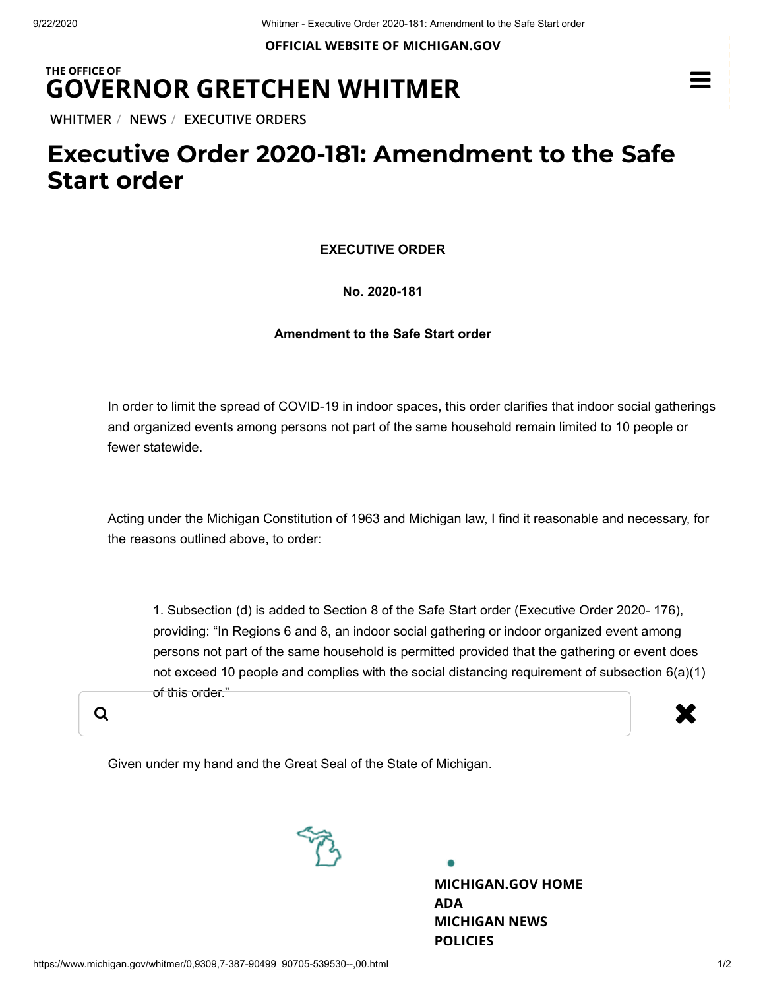**OFFICIAL WEBSITE OF [MICHIGAN.GOV](https://www.michigan.gov/)**

## **THE OFFICE OF GOVERNOR [GRETCHEN WHITMER](https://www.michigan.gov/whitmer/)**

**[WHITMER](https://www.michigan.gov/whitmer/)** / **[NEWS](https://www.michigan.gov/whitmer/0,9309,7-387-90499---,00.html)** / **[EXECUTIVE ORDERS](https://www.michigan.gov/whitmer/0,9309,7-387-90499_90705---,00.html)**

# **Executive Order 2020-181: Amendment to the Safe Start order**

**EXECUTIVE ORDER**

#### **No. 2020-181**

#### **Amendment to the Safe Start order**

In order to limit the spread of COVID-19 in indoor spaces, this order clarifies that indoor social gatherings and organized events among persons not part of the same household remain limited to 10 people or fewer statewide.

Acting under the Michigan Constitution of 1963 and Michigan law, I find it reasonable and necessary, for the reasons outlined above, to order:

1. Subsection (d) is added to Section 8 of the Safe Start order (Executive Order 2020- 176), providing: "In Regions 6 and 8, an indoor social gathering or indoor organized event among persons not part of the same household is permitted provided that the gathering or event does not exceed 10 people and complies with the social distancing requirement of subsection 6(a)(1) of this order."

a and the set of the set of the set of the set of the set of the set of the set of the set of the set of the s

Given under my hand and the Great Seal of the State of Michigan.



**[MICHIGAN.GOV](https://www.michigan.gov/) HOME [ADA](https://www.michigan.gov/adaform) [MICHIGAN NEWS](https://www.michigan.gov/minewswire) [POLICIES](https://www.michigan.gov/whitmer/0,9309,7-387--281460--,00.html)**

 $\equiv$